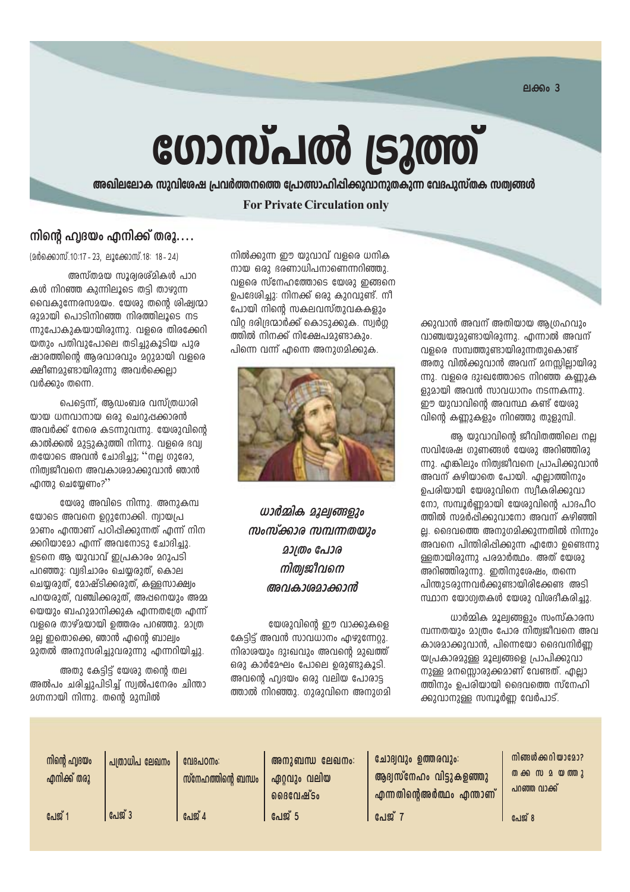ലക്കം $3$ 

# ഗോസ്പൽ ട്രൂത്ത്

അഖിലലോക സുവിശേഷ പ്രവർത്തനത്തെ പ്രോത്സാഹിപ്പിക്കുവാനുതകുന്ന വേദപുസ്തക സത്വങ്ങൾ

#### **For Private Circulation only**

#### നിന്റെ ഹ്വദയം എനിക്ക് തരൂ....

(മർക്കൊസ്.10:17 - 23. ലൂക്കോസ്.18: 18 - 24)

അസ്തമയ സൂര്വരശ്മികൾ പാറ കൾ നിറഞ്ഞ കുന്നിലൂടെ തട്ടി താഴുന്ന വൈകുന്നേരസമയം. യേശു തന്റെ ശിഷ്വന്മാ രുമായി പൊടിനിറഞ്ഞ നിരത്തിലൂടെ നട ന്നുപോകുകയായിരുന്നു. വളരെ തിരക്കേറി യതും പതിവുപോലെ തടിച്ചുകൂടിയ പുര ഷാരത്തിന്റെ അരവാരവും മറുമായി വളരെ <u>ക്ഷീണമാണ്ടായിരാന്നാ അവർക്കൈലാ</u> വർക്കും തന്നെ.

പെട്ടെന്ന്, ആഡംബര വസ്ത്രധാരി യായ ധനവാനായ ഒരു ചെറുഷക്കാരൻ അവർക്ക് നേരെ കടന്നുവന്നു. യേശുവിന്റെ കാൽക്കൽ മുട്ടുകുത്തി നിന്നു. വളരെ ഭവ്വ തയോടെ അവൻ ചോദിച്ചു; ''നല്ല ഗുരോ, നിത്വജീവനെ അവകാശമാക്കുവാൻ ഞാൻ ഫന്തു ചെയേണം?''

യേശു അവിടെ നിന്നു. അനുകമ്പ യോടെ അവനെ ഉറുനോക്കി. ന്വായപ്ര <u>മാണം എന്താണ് പഠിപ്പിക്കുന്നത് എന്ന് നിന</u> ക്കറിയാമോ എന്ന് അവനോടു ചോദിച്ചു. ഉടനെ ആ യുവാവ് ഇപ്രകാരം മറുപടി പറഞ്ഞു: വ്വദിചാരം ചെയ്യരുത്, കൊല ചെയ്യരുത്, മോഷ്ടിക്കരുത്, കള്ളസാക്ഷ്വം പറയരുത്, വഞ്ചിക്കരുത്, അപ്പനെയും അമ്മ യെയും ബഹുമാനിക്കുക എന്നതശ്രേ എന്ന് വളരെ താഴ്മയായി ത്തെരം പറഞ്ഞു. മാത്ര മല്ല ഇതൊക്കെ, ഞാൻ എന്റെ ബാല്വം മുതൽ അനുസരിച്ചുവരുന്നു എന്നറിയിച്ചു.

അതു കേട്ടിട്ട് യേശു തന്റെ തല അൽപം ചരിച്ചുപിടിച്ച് സ്വൽപനേരം ചിന്താ മഗ്നനായി നിന്നു. തന്റെ മുമ്പിൽ

നിൽക്കുന്ന ഈ യുവാവ് വളരെ ധനിക നായ ഒരു ഭരണാധിപനാണെന്നറിഞ്ഞു. വളരെ സ്നേഹത്തോടെ യേശു ഇങ്ങനെ ഉപദേശിച്ചു: നിനക്ക് ഒരു കുറവുണ്ട്. നീ പോയി നിന്റെ സകലവസ്തുവകകളും വിറ ദരിദ്രന്മാർക്ക് കൊടുക്കുക. സ്വർഗ ത്തിൽ നിനക്ക് നിക്ഷേപമാണ്ടാകാം. പിന്നെ വന്ന് എന്നെ അനുഗമിക്കുക.



ധാർമ്മിക മാല്വങ്ങളും സംസ്ക്കാര സമ്പന്നതയും **201000 പോര** നിത്വജീവനെ അവകാരമാക്കാൻ

യേശുവിന്റെ ഈ വാക്കുകളെ കേട്ടിട്ട് അവൻ സാവധാനം എഴുന്നേറ്റു. നിരാശയും ദുഃഖവും അവന്റെ മുഖത്ത് ഒരു കാർമേഘം പോലെ ഉരുണ്ടുകൂടി. അവന്റെ ഹ്വദയം ഒരു വലിയ പോരാട്ട ത്താൽ നിറഞ്ഞു. ഗുരുവിനെ അനുഗമി

ക്കുവാൻ അവന് അതിയായ ആഗ്രഹവും വാഞ്ചയുമുണ്ടായിരുന്നു. എന്നാൽ അവന് വളരെ സമ്പത്തുണ്ടായിരുന്നതുകൊണ്ട് അതു വിൽക്കുവാൻ അവന് മനസ്സില്ലായിരു ന്നു. വളരെ ദുഃഖത്തോടെ നിറഞ്ഞ കണ്ണുക ളുമായി അവൻ സാവധാനം നടന്നകന്നു. ഈ യുവാവിന്റെ അവസ്ഥ കണ്ട് യേശു വിന്റെ കണ്ണുകളും നിറഞ്ഞു തുളുമ്പി.

ആ യുവാവിന്റെ ജീവിതത്തിലെ നല്ല സവിശേഷ ഗുണങ്ങൾ യേശു അറിഞ്ഞിരു ന്നു. എങ്കിലും നിത്വജീവനെ പ്രാപിക്കുവാൻ അവന് കഴിയാതെ പോയി. എല്ലാത്തിനും ഉപരിയായി യേശുവിനെ സ്വീകരിക്കുവാ നോ, സമ്പൂർണ്ണമായി യേശുവിന്റെ പാദപീഠ ത്തിൽ സമർപ്പിക്കുവാനോ അവന് കഴിഞ്ഞി ല്ല. ദൈവത്തെ അനുഗമിക്കുന്നതിൽ നിന്നും അവനെ പിന്തിരിപ്പിക്കുന്ന എതോ ഉണ്ടെന്നു ള്ളതായിരുന്നു പരമാർത്ഥം. അത് യേശു അറിഞ്ഞിരുന്നു. ഇതിനുശേഷം, തന്നെ പിന്തുടരുന്നവർക്കുണ്ടായിരിക്കേണ്ട അടി സ്ഥാന യോഗ്വതകൾ യേശു വിശദീകരിച്ചു.

ധാർമ്മിക മൂല്വങ്ങളും സംസ്കാരസ മ്പന്നതയും മാത്രം പോര നിത്വജീവനെ അവ കാശമാക്കുവാൻ, പിന്നെയോ ദൈവനിർണ്ണ യപ്രകാരമുള്ള മൂല്വങ്ങളെ പ്രാപിക്കുവാ നുള്ള മനസ്സൊരുക്കമാണ് വേണ്ടത്. എല്ലാ ത്തിനും ചെരിയായി ദൈവത്തെ സ്നേഹി ക്കുവാനുള്ള സമ്പൂർണ്ണ വേർപാട്.

| നിന്റെ ഹ്വദയം<br>എനിക്ക് തരൂ | പത്രാധിപ ലേഖനം | വേദപഠനം:<br>സ്നേഹത്തിന്റെ ബന്ധം | അനുബന്ധ ലേഖനം:<br>ഏറ്റവും വലിയ<br>่ออ $B$ เต $\mathbf{u}$ $\mathbf{w}$ รือ | ചോദ്വവും ഉത്തരവും:<br>ആദ്വസ്നേഹം വിട്ടുകളഞ്ഞു<br>എന്നതിന്റെഅർത്ഥം എന്താണ് | നിങ്ങൾക്കറിയാമോ?<br>പറഞ്ഞ വാക്ക് |
|------------------------------|----------------|---------------------------------|----------------------------------------------------------------------------|---------------------------------------------------------------------------|----------------------------------|
| പേജ് $\cdot$                 | പേജ് 3         | പേജ് 4                          | പേജ് 5                                                                     | പേജ്                                                                      | പേജ് 8                           |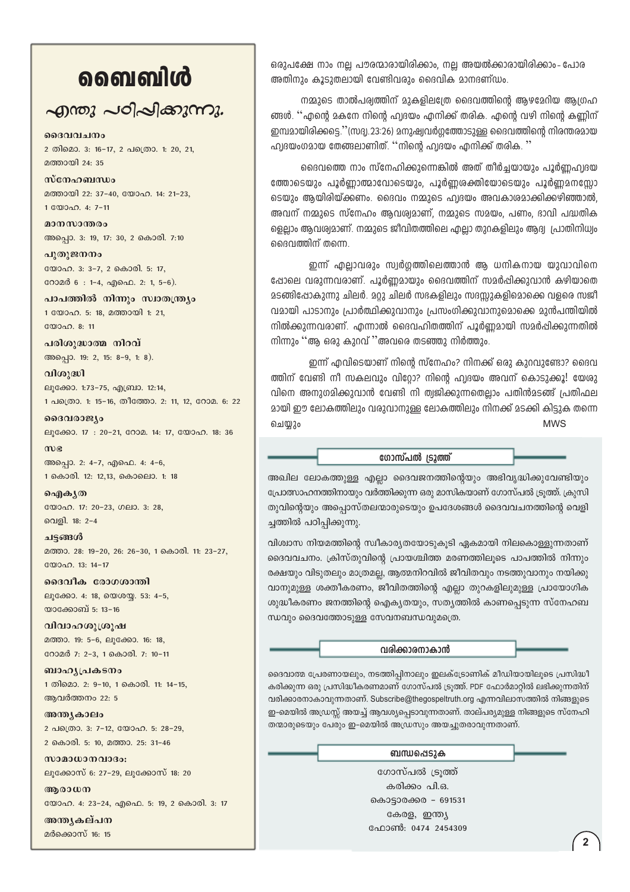## வைவிൾ

### എന്തു പഠിപ്പിക്കുന്നു.

2 തിമൊ. 3: 16-17, 2 പത്രൊ. 1: 20, 21, മത്തായി 24: 35

മദേവവചനം

സ്നേഹബന്ധം മത്തായി 22: 37-40, യോഹ. 14: 21-23, 1 000an. 4: 7-11

മാനസാന്തരം അപ്പൊ. 3: 19, 17: 30, 2 കൊരി. 7:10

പുതുജനനം യോഹ. 3: 3-7, 2 കൊരി. 5: 17, റോമർ 6: 1-4, എഫെ. 2: 1, 5-6).

പാപത്തിൽ നിന്നും സ്വാതന്ത്ര്യം 1 യോഹ. 5: 18, മത്തായി 1: 21, യോഹ. 8: 11

പരിശുദ്ധാത്മ നിറവ് അപ്പൊ. 19: 2, 15: 8-9, 1: 8).

വിശുദ്ധി ലൂക്കോ. 1:73-75, എബ്രാ. 12:14, 1 പത്രൊ. 1: 15-16, തീത്തോ. 2: 11, 12, റോമ. 6: 22

ദൈവരാജ്യം ലൂക്കോ. 17: 20-21, റോമ. 14: 17, യോഹ. 18: 36

 $m$ അപ്പൊ. 2: 4-7, എഫെ. 4: 4-6, 1 കൊരി. 12: 12.13, കൊലൊ. 1: 18

ഐകൃത യോഹ. 17: 20-23, ഗലാ. 3: 28, വെളി. 18: 2-4

ചട്ടങ്ങൾ മത്താ. 28: 19-20, 26: 26-30, 1 കൊരി. 11: 23-27,  $\binom{200000}{13}$  13: 14-17

ദൈവീക രോഗശാന്തി ലൂക്കോ. 4: 18, യെശയ്യ. 53: 4-5, യാക്കോബ് 5: 13-16

വിവാഹശുശ്രൂഷ മത്താ. 19: 5-6, ലുക്കോ. 16: 18, റോമർ 7: 2-3, 1 കൊരി. 7: 10-11

ബാഹൃപ്രകടനം 1 തിമൊ. 2: 9-10, 1 കൊരി. 11: 14-15, ആവർത്തനം 22: 5

അന്ത്യകാലം 2 പക്രൊ. 3: 7-12, യോഹ. 5: 28-29, 2 കൊരി. 5: 10, മത്താ. 25: 31-46

സാമാധാനവാദം: ലൂക്കോസ് 6: 27-29, ലൂക്കോസ് 18: 20

അരാധന യോഹ. 4: 23-24, എഫെ. 5: 19, 2 കൊരി. 3: 17

അന്ത്യകല്പന മർക്കൊസ് 16: 15

ഒരുപക്ഷേ നാം നല്ല പൗരന്മാരായിരിക്കാം, നല്ല അയൽക്കാരായിരിക്കാം- പോര അതിനും കൂടുതലായി വേണ്ടിവരും ദൈവിക മാനദണ്ഡം.

നമ്മുടെ താൽപര്വത്തിന് മുകളിലത്രേ ദൈവത്തിന്റെ ആഴമേറിയ ആഗ്രഹ ങ്ങൾ. ''എന്റെ മകനേ നിന്റെ ഹ്വദയം എനിക്ക് തരിക. എന്റെ വഴി നിന്റെ കണ്ണിന് ഇമ്പമായിരിക്കട്ടെ.''(സദ്വ.23:26) മനുഷ്വവർഗ്ഗത്തോടുള്ള ദൈവത്തിന്റെ നിരന്തരമായ ഹ്വദയംഗമായ തേങ്ങലാണിത്. ''നിന്റെ ഹ്വദയം എനിക്ക് തരിക. ''

ദൈവത്തെ നാം സ്നേഹിക്കുന്നെങ്കിൽ അത് തീർച്ചയായും പൂർണ്ണഹ്വദയ ത്തോടെയും പൂർണ്ണാത്മാവോടെയും, പൂർണ്ണശക്തിയോടെയും പൂർണ്ണമനസ്സോ ടെയും ആയിരിയ്ക്കണം. ദൈവം നമ്മുടെ ഹ്വദയം അവകാശമാക്കിക്കഴിഞ്ഞാൽ, അവന് നമ്മുടെ സ്നേഹം ആവശ്യമാണ്, നമ്മുടെ സമയം, പണം, ദാവി പദ്ധതിക ളെല്ലാം ആവശ്വമാണ്. നമ്മുടെ ജീവിതത്തിലെ എല്ലാ തുറകളിലും ആദ്വ പ്രാതിനിധ്വം ദൈവത്തിന് തന്നെ.

ഇന്ന് എല്ലാവരും സ്വർഗ്ഗത്തിലെത്താൻ ആ ധനികനായ യുവാവിനെ ഷോലെ വരുന്നവരാണ്. പൂർണ്ണമായും ദൈവത്തിന് സമർപ്പിക്കുവാൻ കഴിയാതെ മടങ്ങിപ്പോകുന്നു ചിലർ. മറ്റു ചിലർ സഭകളിലും സദസ്സുകളിമൊക്കെ വളരെ സജീ വമായി പാടാനും പ്രാർത്ഥിക്കുവാനും പ്രസംഗിക്കുവാനുമൊക്കെ മുൻപന്തിയിൽ നിൽക്കുന്നവരാണ്. എന്നാൽ ദൈവഹിതത്തിന് പൂർണ്ണമായി സമർപ്പിക്കുന്നതിൽ നിന്നും ''ആ ഒരു കുറവ് ''അവരെ തടഞ്ഞു നിർത്തും.

ഇന്ന് എവിടെയാണ് നിന്റെ സ്നേഹം? നിനക്ക് ഒരു കുറവുണ്ടോ? ദൈവ ത്തിന് വേണ്ടി നീ സകലവും വിറോ? നിന്റെ ഹ്വദയം അവന് കൊടുക്കൂ! യേരു വിനെ അനുഗമിക്കുവാൻ വേണ്ടി നി ത്വജിക്കുന്നതെല്ലാം പതിൻമടങ്ങ് പ്രതിഫല മായി ഈ ലോകത്തിലും വരുവാനുള്ള ലോകത്തിലും നിനക്ക് മടക്കി കിട്ടുക തന്നെ **MWS** ചെയ്യും

ഗോസ്പൽ ട്രൂത്ത്

അഖില ലോകത്തുള്ള എല്ലാ ദൈവജനത്തിന്റെയും അഭിവ്യദ്ധിക്കുവേണ്ടിയും പ്രോത്സാഹനത്തിനായും വർത്തിക്കുന്ന ഒരു മാസികയാണ് ഗോസ്പൽ ട്രൂത്ത്. ക്രുസി തുവിന്റെയും അപ്പൊസ്തലന്മാരുടെയും ഉപദേശങ്ങൾ ദൈവവചനത്തിന്റെ വെളി ച്ചത്തിൽ പഠിപ്പിക്കുന്നു.

വിശ്വാസ നിയമത്തിന്റെ സ്വീകാര്യതയോടുകൂടി ഏകമായി നിലകൊള്ളുന്നതാണ് ദൈവവചനം. ക്രിസ്തുവിന്റെ പ്രായശ്ചിത്ത മരണത്തിലൂടെ പാപത്തിൽ നിന്നും രക്ഷയും വിടുതലും മാത്രമല്ല, ആത്മനിറവിൽ ജീവിതവും നടത്തുവാനും നയിക്കു വാനുമുള്ള ശക്തീകരണം, ജീവിതത്തിന്റെ എല്ലാ തുറകളിലുമുള്ള പ്രായോഗിക ശുദ്ധീകരണം ജനത്തിന്റെ ഐക്യതയും, സത്യത്തിൽ കാണപ്പെടുന്ന സ്നേഹബ ന്ധവും ദൈവത്തോടുള്ള സേവനബന്ധവുമത്രെ.

വരിക്കാരനാകാൻ

ദൈവാത്മ പ്രേരണായലും, നടത്തിപ്പിനാലും ഇലക്ട്രോണിക് മീഡിയായിലൂടെ പ്രസിദ്ധീ കരിക്കുന്ന ഒരു പ്രസിദ്ധീകരണമാണ് ഗോസ്പൽ ട്രുത്ത്. PDF ഫോർമാറ്റിൽ ലഭിക്കുന്നതിന് വരിക്കാരനാകാവുന്നതാണ്. Subscribe@thegospeltruth.org എന്നവിലാസത്തിൽ നിങ്ങളുടെ ഇ-മെയിൽ അഡ്രസ്സ് അയച്ച് ആവശ്യപ്പെടാവുന്നതാണ്. താല്പര്യമുള്ള നിങ്ങളുടെ സ്നേഹി തന്മാരുടെയും പേരും ഇ-മെയിൽ അഡ്രസും അയച്ചുതരാവുന്നതാണ്.

#### ബന്ധപ്പെടുക

ഗോസ്പൽ ട്രുത്ത് കരിക്കം പി.ഒ. കൊട്ടാരക്കര - 691531 കേരള, ഇന്ത്യ ഫോൺ: 0474 2454309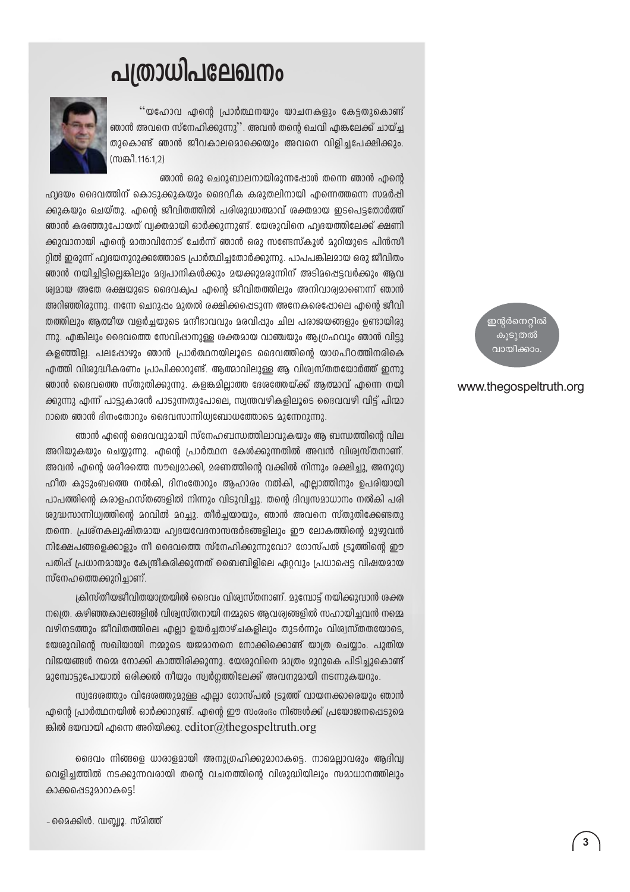# പത്രാധിപലേഖനം



''യഹോവ എന്റെ പ്രാർത്ഥനയും യാചനകളും കേട്ടതുകൊണ്ട് ഞാൻ അവനെ സ്നേഹിക്കുന്നു''. അവൻ തന്റെ ചെവി എങ്കലേക്ക് ചായ്ച്ച തുകൊണ്ട് ഞാൻ ജീവകാലമൊക്കെയും അവനെ വിളിച്ചപേക്ഷിക്കും. (സങ്കീ.116:1.2)

ഞാൻ ഒരു ചെറുബാലനായിരുന്നപ്പോൾ തന്നെ ഞാൻ എന്റെ

ഹ്വദയം ദൈവത്തിന് കൊടുക്കുകയും ദൈവീക കരുതലിനായി എന്നെത്തന്നെ സമർപ്പി ക്കുകയും ചെയ്തു. എന്റെ ജീവിതത്തിൽ പരിശുദ്ധാത്മാവ് ശക്തമായ ഇടപെട്ടതോർത്ത് ഞാൻ കരഞ്ഞുപോയത് വ്വക്തമായി ഓർക്കുന്നുണ്ട്. യേശുവിനെ ഹ്വദയത്തിലേക്ക് ക്ഷണി ക്കുവാനായി എന്റെ മാതാവിനോട് ചേർന്ന് ഞാൻ ഒരു സണ്ടേസ്കൂൾ മുറിയുടെ പിൻസീ റ്റിൽ ഇരുന്ന് ഹ്വദയനുറുക്കത്തോടെ പ്രാർത്ഥിച്ചതോർക്കുന്നു. പാപപങ്കിലമായ ഒരു ജീവിതം ഞാൻ നയിച്ചിട്ടില്ലെങ്കിലും മദ്വപാനികൾക്കും മയക്കുമരുന്നിന് അടിമപ്പെട്ടവർക്കും ആവ ശ്വമായ അതേ രക്ഷയുടെ ദൈവക്വപ എന്റെ ജീവിതത്തിലും അനിവാര്വമാണെന്ന് ഞാൻ അറിഞ്ഞിരുന്നു. നന്നേ ചെറുപ്പം മുതൽ രക്ഷിക്കപ്പെടുന്ന അനേകരെപ്പോലെ എന്റെ ജീവി തത്തിലും ആത്മീയ വളർച്ചയുടെ മന്ദീഭാവവും മരവിഷും ചില പരാജയങ്ങളും ഉണ്ടായിരു ന്നു. എങ്കിലും ദൈവത്തെ സേവിപ്പാനുള്ള ശക്തമായ വാഞ്ചയും ആഗ്രഹവും ഞാൻ വിട്ടു കളഞ്ഞില്ല. പലപ്പോഴും ഞാൻ പ്രാർത്ഥനയിലൂടെ ദൈവത്തിന്റെ യാഗപീഠത്തിനരികെ എത്തി വിശുദ്ധീകരണം പ്രാപിക്കാറുണ്ട്. ആത്മാവിലുള്ള ആ വിശ്വസ്തതയോർത്ത് ഇന്നു ഞാൻ ദൈവത്തെ സ്തുതിക്കുന്നു. കളങ്കമില്ലാത്ത ദേശത്തേയ്ക്ക് ആത്മാവ് എന്നെ നയി ക്കുന്നു എന്ന് പാട്ടുകാരൻ പാടുന്നതുപോലെ, സ്വന്തവഴികളിലൂടെ ദൈവവഴി വിട്ട് പിന്മാ റാതെ ഞാൻ ദിനംതോറും ദൈവസാന്നിധ്വബോധത്തോടെ മുന്നേറുന്നു.

ഞാൻ എന്റെ ദൈവവുമായി സ്നേഹബന്ധത്തിലാവുകയും ആ ബന്ധത്തിന്റെ വില അറിയുകയും ചെയ്യുന്നു. എന്റെ പ്രാർത്ഥന കേൾക്കുന്നതിൽ അവൻ വിശ്വസ്തനാണ്. അവൻ എന്റെ ശരീരത്തെ സൗഖ്വമാക്കി, മരണത്തിന്റെ വക്കിൽ നിന്നും രക്ഷിച്ചു, അനുഗ്വ ഹിത കുടുംബത്തെ നൽകി, ദിനംതോറും ആഹാരം നൽകി, എല്ലാത്തിനും ഉപരിയായി പാപത്തിന്റെ കരാളഹസ്തങ്ങളിൽ നിന്നും വിടുവിച്ചു. തന്റെ ദിവ്വസമാധാനം നൽകി പരി ശുദ്ധസാന്നിധ്വത്തിന്റെ മറവിൽ മറച്ചു. തീർച്ചയായും, ഞാൻ അവനെ സ്തുതിക്കേണ്ടതു തന്നെ. പ്രശ്നകലുഷിതമായ ഹ്വദയവേദനാസന്ദർഭങ്ങളിലും ഈ ലോകത്തിന്റെ മുഴുവൻ നിക്ഷേപങ്ങളെക്കാളും നീ ദൈവത്തെ സ്നേഹിക്കുന്നുവോ? ഗോസ്പൽ ട്രൂത്തിന്റെ ഈ പതിപ്പ് പ്രധാനമായും കേന്ദ്രീകരിക്കുന്നത് ബൈബിളിലെ ഏറ്റവും പ്രധാപ്പെട്ട വിഷയമായ സ്നേഹത്തെക്കുറിച്ചാണ്.

ക്രിസ്തീയജീവിതയാത്രയിൽ ദൈവം വിശ്വസ്തനാണ്. മുമ്പോട്ട് നയിക്കുവാൻ ശക്ത നത്രെ, കഴിഞ്ഞകാലങ്ങളിൽ വിശ്വസ്തനായി നമ്മാടെ അവശ്വങ്ങളിൽ സഹായിചവൻ നമ്മെ വഴിനടത്തും ജീവിതത്തിലെ എല്ലാ ഉയർച്ചതാഴ്ചകളിലും തുടർന്നും വിശ്വസ്തതയോടെ, യേശാവിന്റെ സഖിയായി നമ്മാടെ യജമാനനെ നോക്കിക്കൊണ്ട് യാത്ര ചെയാം. പാതിയ വിജയങ്ങൾ നമ്മെ നോക്കി കാത്തിരിക്കുന്നു. യേശുവിനെ മാത്രം മുറുകെ പിടിച്ചുകൊണ്ട് മുമ്പോട്ടുപോയാൽ ഒരിക്കൽ നീയും സ്വർഗ്ഗത്തിലേക്ക് അവനുമായി നടന്നുകയറും.

സ്വദേശത്തും വിദേശത്തുമുള്ള ഫലാ ഗോസ്പൽ ട്രൂത്ത് വായനക്കാരെയും ഞാൻ എന്റെ പ്രാർത്ഥനയിൽ ഓർക്കാറുണ്ട്. എന്റെ ഈ സംരംഭം നിങ്ങൾക്ക് പ്രയോജനപ്പെടുമെ ങ്കിൽ ദയവായി എന്നെ അറിയിക്കൂ. editor@thegospeltruth.org

ദൈവം നിങ്ങളെ ധാരാളമായി അനുഗ്രഹിക്കുമാറാകട്ടെ. നാമെല്ലാവരും ആദിവ്വ വെളിച്ചത്തിൽ നടക്കുന്നവരായി തന്റെ വചനത്തിന്റെ വിശുദ്ധിയിലും സമാധാനത്തിലും കാക്കപ്പെടുമാനകട്ടെ!

- മൈക്കിൾ. ഡബ്ലൂ. സ്മിത്ത്

ഇന്റർനെറ്റിൽ കുടുതൽ വായിക്കാം

#### www.thegospeltruth.org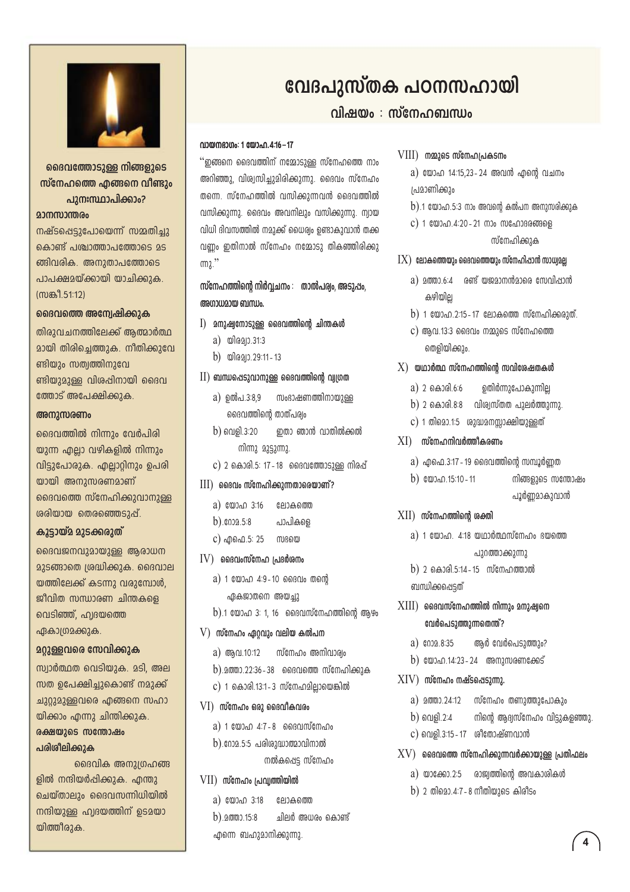

ദൈവത്തോടുള്ള നിങ്ങളുടെ സ്നേഹത്തെ ഹങ്ങനെ വീണ്ടും പുനഃസ്ഥാപിക്കാം? മാനസാന്തരം

നഷ്ടപ്പെടുപോയെന്ന് സമ്മതിച്ചു കൊണ്ട് പശ്ചാത്താപത്തോടെ മട ങ്ങിവരിക. അനുതാപത്തോടെ പാപക്ഷമയ്ക്കായി യാചിക്കുക. (സങ്കീ 51:12)

#### ദൈവത്തെ അന്വേഷിക്കുക

തിരുവചനത്തിലേക്ക് ആത്മാർത്ഥ മായി തിരിച്ചെത്തുക. നീതിക്കുവേ ണ്ടിയും സത്വത്തിനുവേ ണ്ടിയുമുള്ള വിശപ്പിനായി ദൈവ ത്തോട് അപേക്ഷിക്കുക.

#### അനുസരണം

ദൈവത്തിൽ നിന്നും വേർപിരി യുന്ന എല്ലാ വഴികളിൽ നിന്നും വിട്ടുപോരുക. എല്ലാറ്റിനും ഉപരി യായി അനുസരണമാണ് ദൈവത്തെ സ്നേഹിക്കുവാനുള്ള ശരിയായ തെരഞ്ഞെടുപ്പ്.

#### കൂടായ്മ മാടക്കരാത്

ദൈവജനവുമായുള്ള ആരാധന 235ങ്ങാതെ ശ്രദ്ധിക്കുക. ദൈവാല യത്തിലേക്ക് കടന്നു വരുമ്പോൾ, ജീവിത സന്ധാരണ ചിന്തകളെ വെടിഞ്ഞ്, ഹ്വദയത്തെ ഏകാത്രമക്കുക.

#### 203ള്ളവരെ സേവിക്കുക

സ്വാർത്ഥത വെടിയുക. മടി, അല സത ഉപേക്ഷിച്ചുകൊണ്ട് നമുക്ക് ചുറ്റുമുള്ളവരെ എങ്ങനെ സഹാ യിക്കാം എന്നു ചിന്തിക്കുക.

#### രക്ഷയുടെ സന്തോഷം പരിശീലിക്കുക

ദൈവിക അനുശ്രഹങ്ങ ളിൽ നന്ദിയർപ്പിക്കുക. എന്തു ചെയ്താലും ദൈവസന്നിധിയിൽ നന്ദിയുള്ള ഹ്വദയത്തിന് ഉടമയാ യിത്തീരുക.

## വേദപുസ്തക പഠനസഹായി

#### വിഷയം : സ്നേഹബന്ധം

#### വായനഭാഗം: 1 യോഹ. 4:16 – 17

 $\lq\lq$ തങനെ ദൈവത്തിന് നമ്മോടാള്ള സ്നേഹത്തെ നാം അറിഞ്ഞു, വിശ്വസിച്ചുമിരിക്കുന്നു. ദൈവം സ്നേഹം തന്നെ. സ്നേഹത്തിൽ വസിക്കുന്നവൻ ദൈവത്തിൽ വസിക്കുന്നു. ദൈവം അവനിലും വസിക്കുന്നു. ന്വായ വിധി ദിവസത്തിൽ നമുക്ക് ധൈര്വം ഉണ്ടാകുവാൻ തക്ക വണം ഇതിനാൽ സ്നേഹം നമ്മോടു തികഞ്ഞിരിക്കു  $m<sub>2</sub>$ ."

സ്നേഹത്തിന്റെ നിർവചനം : താൽപര്വം അടുപ്പം. അഗാധമായ ബന്ധം.

- $I$ ) മനുഷ്യനോടുള്ള ദൈവത്തിന്റെ ചിന്തകൾ
	- a) യിരമ്യാ.31:3
	- b) യിരുവാ 29:11-13
- $\text{II})$  ബന്ധപ്പെടുവാനുള്ള ദൈവത്തിന്റെ വ്വഗ്രത
	- a) ഉൽപ.3:8,9 സംഭാഷണത്തിനായുള്ള ദൈവത്തിന്റെ താത്പര്രം
	- $b)$  คูณด $l$ .3:20 ഇതാ ഞാൻ വാതിൽക്കൽ നിന്നു മുട്ടുന്നു.
	- $c)$  2 കൊരി.5: 17 18 ജൈവത്തോടുള്ള നിരപ്പ്
- $III$ ) മൈവം സ്നേഹിക്കുന്നതാരെയാണ്?
	- a) യോഹ 3:16 ലോകത്തെ
	- $b)$ .  $0.02.5.8$ പാപികളെ
	- c) എഫെ.5: 25 സഭയെ
- $\rm IV)$  ൈവംസ്നേഹ പ്രദർശനം
	- a) 1 യോഹ 4:9-10 ദൈവം തന്റെ
	- ഏകജാതനെ അയച്ചു  $b$ ).1 യോഹ 3: 1, 16 ജൈവസ്നേഹത്തിന്റെ ആഴം
- $V$ ) സ്നേഹം ഏ $0$ വും വലിയ കൽപന
	- a) അവ.10:12 സ്നേഹം അനിവാര്യം
	- $b)$ .20000.22:36-38 മൈവത്തെ സ്നേഹിക്കുക
- c) 1 കൊരി.13:1-3 സ്നേഹമില്ലായെങ്കിൽ
- $VI$ ) സ്നേഹം ഒരു ദൈവീകവരം
	- $a)$  1 യോഹ 4:7-8 മൈവസ്നേഹം
	- b). റോ $2.5:5$  പരിശുദ്ധാത്മാവിനാൽ നൽകപ്പെട്ട സ്നേഹം
- VII) സ്നേഹം പ്രവ്യത്തിയിൽ
	- a) യോഹ 3:18 ലോകത്തെ
	- ചിലർ അധരം കൊണ്ട്  $b)$ .  $20003.15:8$ എന്നെ ബഹുമാനിക്കുന്നു.

#### $VIII$ ) നമ്മുടെ സ്നേഹപ്രകടനം

- a) യോഹ 14:15,23-24 അവൻ എന്റെ വചനം പ്രമാണിക്കും
- $b$ ).1 യോഹ.5:3 നാം അവന്റെ കൽപന അനുസരിക്കുക
- $c)$  1 യോഹ.4:20 21 നാം സഹോദരങ്ങളെ സ്നേഹിക്കുക
- $IX)$  ലോകത്തെയും ദൈവത്തെയും സ്നേഹിഷാൻ സാധ്വമല്ല
	- $a)$  മത്താ 6:4  $a$ ണ്ട് യജമാനൻമാരെ സേവിഷാൻ കഴിയില
	- b) 1 യോഹ.2:15-17 ലോകത്തെ സ്നേഹിക്കരുത്.
	- $\mathbf c$ ) ആവ.13:3 ദൈവം നമ്മുടെ സ്നേഹത്തെ തെളിയിക്കും.

#### $X$ ) യഥാർത്ഥ സ്നേഹത്തിന്റെ സവിശേഷതകൾ

- a) 2 കൊരി.6:6 ഉതിർന്നുപോകുന്നില്ല
- b) 2 കൊരി.8:8 വിശ്വസ്തത പുലർത്തുന്നു.
- c) 1 തിമൊ.1:5 ശുദ്ധമനസ്സാക്ഷിയുള്ളത്
- $XI$ ) സ്നേഹനിവർത്തീകരണം
	- $a)$  എ.പെ.3:17 19 ദൈവത്തിന്റെ സമ്പൂർണത
	- b)  $\omega_{0.0}$ .15:10 11 നിങ്ങളുടെ സന്തോഷം പൂർണ്ണമാകുവാൻ

#### $XII$ ) സ്നേഹത്തിന്റെ ശക്തി

- $a)$  1 യോഹ. 4:18 യഥാർത്ഥസ്നേഹം ദയത്തെ പുറത്താക്കുന്നു
- b) 2 കൊരി.5:14 15 സ്നേഹത്താൽ ബന്ധിക്കപ്പെടത്
- $XIII$ ) ദൈവസ്നേഹത്തിൽ നിന്നും മനുഷ്യനെ വേർപെടുത്തുന്നതെന്ത്?
	- a)  $602.8:35$ ആർ വേർപെടുത്തും?
	- b) യോഹ.14:23-24 അനുസരണക്കേട്
- $XIV$ ) സ്നേഹം നഷ്ടപ്പെടുന്നു.
	-
	- നിന്റെ ആദ്വസ്നേഹം വിട്ടുകളഞ്ഞു.  $b)$  വെളി.2:4
	- c) വെളി.3:15 17 ശീതോഷ്ണവാൻ
- $XY$ ) ദൈവത്തെ സ്നേഹിക്കുന്നവർക്കായുള്ള പ്രതിഫലം
	- a) യാക്കോ.2:5 രാജ്വത്തിന്റെ അവകാശികൾ
	- b) 2 തിമൊ.4:7-8 നീതിയുടെ കിരീടം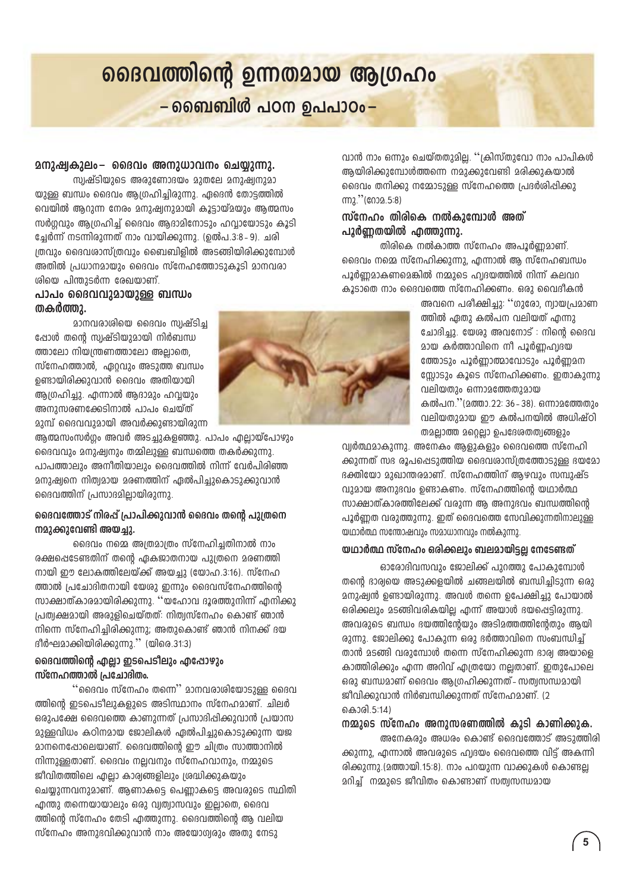# ദൈവത്തിന്റെ ഉന്നതമായ ആഗ്രഹം – ബൈബിൾ പഠന ഉപപാഠം–

#### മനുഷ്വകുലം- ദൈവം അനുധാവനം ചെയ്യുന്നു.

സ്വഷ്ടിയുടെ അരുണോദയം മുതലേ മനുഷ്വനുമാ യുള്ള ബന്ധം ദൈവം ആഗ്രഹിച്ചിരുന്നു. ഏദെൻ തോട്ടത്തിൽ വെയിൽ ആറുന്ന നേരം മനുഷ്വനുമായി കൂട്ടായ്മയും ആത്മസം സർഗ്ഗവും ആഗ്രഹിച്ച് ദൈവം ആദാമിനോടും ഹവായോടും കൂടി ച്ചേർന്ന് നടന്നിരുന്നത് നാം വായിക്കുന്നു. (ഉൽപ.3:8–9). ചരി ത്രവും ദൈവശാസ്ത്രവും ബൈബിളിൽ അടങ്ങിയിരിക്കുമ്പോൾ അതിൽ പ്രധാനമായും ദൈവം സ്നേഹത്തോടുകൂടി മാനവരാ ശിയെ പിന്തുടർന്ന രേഖയാണ്.

#### പാപം ദൈവവുമായുള്ള ബന്ധം തകർത്താ.

മാനവരാശിയെ ദൈവം സ്വഷ്ടിച്ച ഷോൾ തന്റെ സ്വഷ്ടിയുമായി നിർബന്ധ ത്താലോ നിയന്ത്രണത്താലോ അല്ലാതെ. സ്നേഹത്താൽ, ഏറ്റവും അടുത്ത ബന്ധം ഉണ്ടായിരിക്കുവാൻ ദൈവം അതിയായി ആഗ്രഹിച്ചു. എന്നാൽ ആദാമും ഹവ്വയും അനുസരണക്കേടിനാൽ പാപം ചെയ്ത് മുമ്പ് ദൈവവുമായി അവർക്കുണ്ടായിരുന്ന

ആത്മസംസർഗം അവർ അടചുകളഞ്ഞു. പാപം എലായ്പോഴും ദൈവവും മനുഷ്വനും തമ്മിലുള്ള ബന്ധത്തെ തകർക്കുന്നു. പാപത്താലും അനീതിയാലും ദൈവത്തിൽ നിന്ന് വേർപിരിഞ്ഞ മനുഷ്വനെ നിത്വമായ മരണത്തിന് ഏൽപിച്ചുകൊടുക്കുവാൻ ദൈവത്തിന് പ്രസാദമില്ലായിരുന്നു.

#### ദൈവത്തോട് നിരപ്പ് പ്രാപിക്കുവാൻ ദൈവം തന്റെ പുത്രനെ നമുക്കുവേണ്ടി അയച്ചു.

ദൈവം നമ്മെ അത്രമാത്രം സ്നേഹിച്ചതിനാൽ നാം രക്ഷപ്പെടേണ്ടതിന് തന്റെ ഏകജാതനായ പുത്രനെ മരണത്തി നായി ഈ ലോകത്തിലേയ്ക്ക് അയച്ചു (യോഹ.3:16). സ്നേഹ ത്താൽ പ്രചോദിതനായി യേശു ഇന്നും ദൈവസ്നേഹത്തിന്റെ സാക്ഷാത്കാരമായിരിക്കുന്നു. ''യഹോവ ദൂരത്തുനിന്ന് എനിക്കു പ്രത്വക്ഷമായി അരുളിചെയ്തത്: നിത്വസ്നേഹം കൊണ്ട് ഞാൻ നിന്നെ സ്നേഹിച്ചിരിക്കുന്നു; അതുകൊണ്ട് ഞാൻ നിനക്ക് ദയ ദീർഘമാക്കിയിരിക്കുന്നു." (യിരെ.31:3)

#### ദൈവത്തിന്റെ എല്ലാ ഇടപെടീലും എപ്പോഴും സ്നേഹത്താൽ പ്രചോദിതം.

``@ൈവം സ്നേഹം തന്നെ'` മാനവരാശിയോടുള്ള ദൈവ ത്തിന്റെ ഇടപെടിലുകളുടെ അടിസ്ഥാനം സ്നേഹമാണ്. ചിലർ ഒരുപക്ഷേ ദൈവത്തെ കാണുന്നത് പ്രസാദിപ്പിക്കുവാൻ പ്രയാസ മുള്ളവിധം കഠിനമായ ജോലികൾ ഏൽപിച്ചുകൊടുക്കുന്ന യജ മാനനെപ്പോലെയാണ്. ദൈവത്തിന്റെ ഈ ചിത്രം സാത്താനിൽ നിന്നുള്ളതാണ്. ദൈവം നല്ലവനും സ്നേഹവാനും, നമ്മുടെ ജീവിതത്തിലെ എല്ലാ കാര്വങ്ങളിലും ശ്രദ്ധിക്കുകയും ചെയ്യുന്നവനുമാണ്. ആണാകട്ടെ പെണ്ണാകട്ടെ അവരുടെ സ്ഥിതി എന്തു തന്നെയായാലും ഒരു വ്യത്വാസവും ഇല്ലാതെ, ദൈവ ത്തിന്റെ സ്നേഹം തേടി എത്തുന്നു. ദൈവത്തിന്റെ ആ വലിയ സ്നേഹം അനുഭവിക്കുവാൻ നാം അയോഗ്വരും അതു നേടു



വാൻ നാം ഒന്നും ചെയ്തതുമില്ല. ''ക്രിസ്തുവോ നാം പാപികൾ ആയിരിക്കുമ്പോൾത്തന്നെ നമുക്കുവേണ്ടി മരിക്കുകയാൽ ദൈവം തനിക്കു നമ്മോടുള്ള സ്നേഹത്തെ പ്രദർശിപ്പിക്കു  $(m_2$ ." ( $(0.02.5.8)$ 

#### സ്നേഹം തിരികെ നൽകാമ്പോൾ അത് പ്പൂർണതയിൽ ഹത്തുന്നു.

തിരികെ നൽകാത്ത സ്നേഹം അപൂർണ്ണമാണ്. ദൈവം നമ്മെ സ്നേഹിക്കുന്നു, എന്നാൽ ആ സ്നേഹബന്ധം പൂർണമാകണമെങ്കിൽ നമ്മുടെ ഹ്വദയത്തിൽ നിന്ന് കലവറ കൂടാതെ നാം ദൈവത്തെ സ്നേഹിക്കണം. ഒരു വൈദീകൻ

അവനെ പരീക്ഷിച്ചു: ''ഗുരോ, ന്വായപ്രമാണ ത്തിൽ ഏതു കൽപന വലിയത് എന്നു ചോദിച്ചു. യേശു അവനോട് : നിന്റെ ദൈവ മായ കർത്താവിനെ നീ പൂർണഹ്വദയ ത്തോടാം പൂർണാത്മാവോടാം പൂർണമന സ്സോടും കൂടെ സ്നേഹിക്കണം. ഇതാകുന്നു വലിയതും ഒന്നാമത്തേതുമായ കൽപന.''(മത്താ.22: 36-38), ഒന്നാമത്തേതാം വലിയതുമായ ഈ കൽപനയിൽ അധിഷ്ഠി തമല്ലാത്ത മറ്റെല്ലാ ഉപദേശതത്വങ്ങളും

വ്വർത്ഥമാകുന്നു. അനേകം ആളുകളും ദൈവത്തെ സ്നേഹി ക്കുന്നത് സഭ രൂപപ്പെടുത്തിയ ദൈവശാസ്ത്രത്തോടുള്ള ഭയമോ ഭക്തിയോ മുഖാന്തരമാണ്. സ്നേഹത്തിന് ആഴവും സമ്പുഷ്ട വുമായ അനുഭവം ഉണ്ടാകണം. സ്നേഹത്തിന്റെ യഥാർത്ഥ സാക്ഷാത്കാരത്തിലേക്ക് വരുന്ന അ അനുഭവം ബന്ധത്തിന്റെ പൂർണത വരുത്തുന്നു. ഇത് ദൈവത്തെ സേവിക്കുന്നതിനാലുള്ള യഥാർത്ഥ സന്തോഷവും സമാധാനവും നൽകുന്നു.

#### യഥാർത്ഥ സ്നേഹം ഒരിക്കലും ബലമായിട്ടല്ല നേടേണ്ടത്

ഓരോദിവസവും ജോലിക്ക് പുറത്തു പോകുമ്പോൾ തന്റെ ദാര്വയെ അടുക്കളയിൽ ചങ്ങലയിൽ ബന്ധിച്ചിടുന്ന ഒരു മനുഷ്വൻ ഉണ്ടായിരുന്നു. അവൾ തന്നെ ഉപേക്ഷിച്ചു പോയാൽ ഒരിക്കലും മടങ്ങിവരികയില എന്ന് അയാൾ ഭയപ്പെട്ടിരുന്നു. അവരുടെ ബന്ധം ഭയത്തിന്റേയും അടിമത്തത്തിന്റേതും ആയി രുന്നു. ജോലിക്കു പോകുന്ന ഒരു ഭർത്താവിനെ സംബന്ധിച്ച് താൻ മടങ്ങി വരുമ്പോൾ തന്നെ സ്നേഹിക്കുന്ന ഭാര്വ അയാളെ കാത്തിരിക്കും എന്ന അറിവ് എത്രയോ നല്ലതാണ്. ഇതുപോലെ ഒരു ബന്ധമാണ് ദൈവം ആഗ്രഹിക്കുന്നത് - സത്വസന്ധമായി ജീവിക്കുവാൻ നിർബന്ധിക്കുന്നത് സ്നേഹമാണ്. (2 കൊരി.5:14)

#### നമ്മുടെ സ്നേഹം അനുസരണത്തിൽ കൂടി കാണിക്കുക.

അനേകരും അധരം കൊണ്ട് ദൈവത്തോട് അടുത്തിരി ക്കുന്നു. എന്നാൽ അവരുടെ ഹ്വദയം ദൈവത്തെ വിട്ട് അകന്നി രിക്കുന്നു.(മത്തായി.15:8). നാം പറയുന്ന വാക്കുകൾ കൊണ്ടല മറിച്ച് നമ്മുടെ ജീവിതം കൊണ്ടാണ് സത്വസന്ധമായ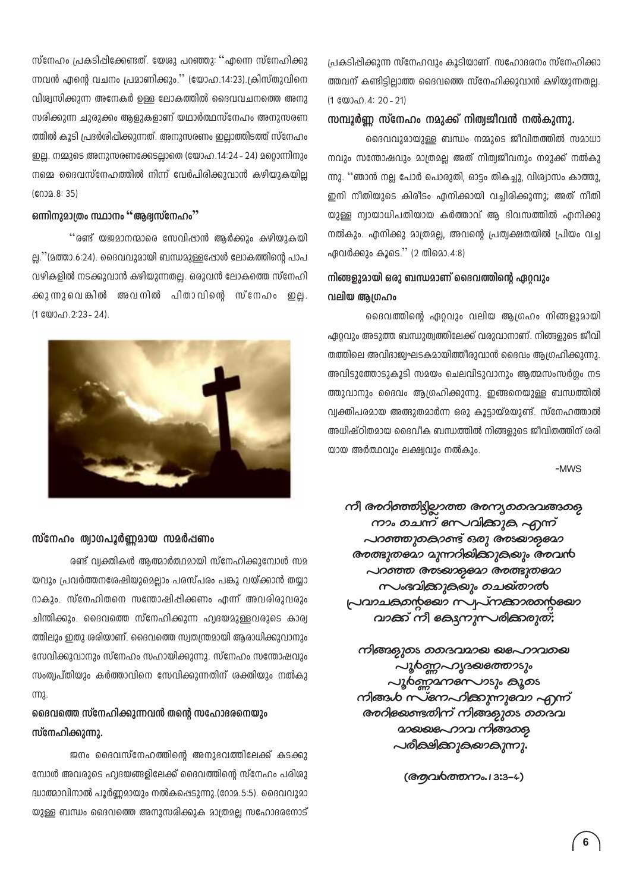$m$ ്നേഹം പ്രകടിപ്പിക്കേണ്ടത്. യേശു പറഞ്ഞു:  $\cdot$ ്എന്നെ സ്നേഹിക്കു ന്നവൻ എന്റെ വചനം പ്രമാണിക്കും.'' (യോഹ.14:23).ക്രിസ്തുവിനെ വിശ്വസിക്കുന്ന അനേകർ ഉള്ള ലോകത്തിൽ ദൈവവചനത്തെ അനു സരിക്കുന്ന ചുരുക്കം ആളുകളാണ് യഥാർത്ഥസ്നേഹം അനുസരണ ത്തിൽ കൂടി പ്രദർശിപ്പിക്കുന്നത്. അനുസരണം ഇലാത്തിടത്ത് സ്നേഹം <u>ഇല്ല. നമ്മുടെ അനുസരണക്കേടല്ലാതെ (യോഹ.14:24 - 24) മറ്റൊന്നിനും</u>  $\Omega$  നമ്മെ ദൈവസ്നേഹത്തിൽ നിന്ന് വേർപിരിക്കുവാൻ കഴിയുകയില്ല  $(6039.8: 35)$ 

#### $\mathbf{m}$ ിനുമാത്രം സ്ഥാനം ''ആദ്യസ്നേഹം''

 $\cdot$ ്രണ്ട് യജമാനന്മാരെ സേവിപ്പാൻ ആർക്കും കഴിയുകയി ല്ല.''(മത്താ.6:24). ദൈവവുമായി ബന്ധമുള്ളഷോൾ ലോകത്തിന്റെ പാപ വഴികളിൽ നടക്കുവാൻ കഴിയുന്നതല്ല. ഒരുവൻ ലോകത്തെ സ്നേഹി ക്കുന്നുവെങ്കിൽ അവനിൽ പിതാവിന്റെ സ്നേഹം ഇല്ല.  $(1 \& 0) \& 0.2:23 - 24)$ .



#### **സ്നേഹം ത്വാഗപൂർണ്ണമായ സമർ**പ്പണം

eണ്ട് വ്യക്തികൾ ആത്മാർത്ഥമായി സ്നേഹിക്കുമ്പോൾ സമ wവും പ്രവർത്തനശേഷിയുമെല്ലാം പരസ്പരം പങ്കു വയ്ക്കാൻ തയ<u>ു</u>ാ 0ാകും. സ്നേഹിതനെ സന്തോഷിപ്പിക്കണം എന്ന് അവരിരുവരും ചിന്തിക്കും. ദൈവത്തെ സ്നേഹിക്കുന്ന ഹ്വദയമുള്ളവരുടെ കാര്വ ത്തിലും ഇതു ശരിയാണ്. ദൈവത്തെ സ്വതന്ത്രമായി ആരാധിക്കുവാനും  $\epsilon$ സവിക്കുവാനും സ്നേഹം സഹായിക്കുന്നു. സ്നേഹം സന്തോഷവും സംത്വപ്തിയും കർത്താവിനെ സേവിക്കുന്നതിന് ശക്തിയും നൽകു m<sub>2</sub>

#### ഭൈവത്തെ സ്നേഹിക്കുന്നവൻ തന്റെ സഹോദരനെയും സ്നേഹിക്കുന്നു.

ജനം ദൈവസ്നേഹത്തിന്റെ അനുഭവത്തിലേക്ക് കടക്കു മ്പോൾ അവരുടെ ഹൃദയങ്ങളിലേക്ക് ദൈവത്തിന്റെ സ്നേഹം പരിശു  $\mu$ ാത്മാവിനാൽ പൂർണ്ണമായും നൽകപ്പെടുന്നു.(റോമ.5:5). ദൈവവുമാ യുള്ള ബന്ധം ദൈവത്തെ അനുസരിക്കുക മാത്രമല്ല സഹോദരനോട് (പകടിപ്പിക്കുന്ന സ്നേഹവും കൂടിയാണ്. സഹോദരനം സ്നേഹിക്കാ ത്തവന് കണ്ടിട്ടില്ലാത്ത ദൈവത്തെ സ്നേഹിക്കുവാൻ കഴിയുന്നതല്ല.  $(1 \& 0) \& 0.4$ : 20 - 21)

#### സമ്പൂർണ്ണ സ്നേഹം നമുക്ക് നിത്വജീവൻ നൽകുന്നു.

ദൈവവുമായുള്ള ബന്ധം നമ്മുടെ ജീവിതത്തിൽ സമാധാ  $\mathfrak m$ വും സന്തോഷവും മാത്രമല്ല അത് നിത്വജീവനും നമുക്ക് നൽകു ന്നു. ''ഞാൻ നല്ല പോർ പൊരുതി, ഓട്ടം തികച്ചു, വിശ്വാസം കാത്തു, ഇനി നീതിയുടെ കിരീടം എനിക്കായി വച്ചിരിക്കുന്നു; അത് നീതി യുള്ള ന്വായാധിപതിയായ കർത്താവ് ആ ദിവസത്തിൽ എനിക്കു നൽകും. എനിക്കു മാത്രമല്ല, അവന്റെ പ്രത്വക്ഷതയിൽ പ്രിയം വച്ച ഏവർക്കും കൂടെ." (2 തിമൊ.4:8)

#### mിങ്ങളുമായി ഒരു ബന്ധമാണ് ദൈവത്തിന്റെ ഏറ്റവും വലിയ ആഗ്രഹം

ഒദെവത്തിന്റെ ഏറ്റവും വലിയ ആഗ്രഹം നിങ്ങളുമായി ഏറ്റവും അടുത്ത ബന്ധുത്വത്തിലേക്ക് വരുവാനാണ്. നിങ്ങളുടെ ജീവി തത്തിലെ അവിഭാജ്വഘടകമായിത്തീരുവാൻ ദൈവം ആഗ്രഹിക്കുന്നു. അവിടുത്തോടുകൂടി സമയം ചെലവിടുവാനും ആത്മസംസർഗ്ഗം നട ത്തുവാനും ദൈവം ആഗ്രഹിക്കുന്നു. ഇങ്ങനെയുള്ള ബന്ധത്തിൽ വ്വക്തിപരമായ അത്ഭുതമാർന്ന ഒരു കൂട്ടായ്മയുണ്ട്. സ്നേഹത്താൽ അധിഷ്ഠിതമായ ദൈവീക ബന്ധത്തിൽ നിങ്ങളുടെ ജീവിതത്തിന് ശരി യായ അർത്ഥവും ലക്ഷ്വവും നൽകും.

-MWS

 $\omega$  *നി അറിഞ്ഞി*ട്ടി*ലാത്ത അന്യമാ*ദവങ്ങാ *നാം ചെന്ന് സേവിക്കുക്ര എന്ന്*  $\sim$ *no* mongo Anome<sup>3</sup> and an analysis and a *രുത്ത്യതദ്മാ മുന്നറി*യിക്കുകയും *രുവ*ൻ  $\sim$ 100000 Goose 2009900 Googlobe kww.cadamakang *வ*டிவரை **പ്രവാചകന്റെക്കോ സ്വപ്നക്കാരന്റെക്കോ** വാക്ക് നീ ക്രേനുസരിക്കരുത്;

നിങ്ങളു*ടെ കൈവമാ*യ *യപോറ*വമയ **പൂർ**ണ്ണഹൃദയഒത്താടും പൂ**ർ**ണ്ണമനക്സോടും കൂക്കട  $\eta$  kop- $\delta$  kon- $\eta$  and  $\eta$ *അറി*ക്കേണ്ടതിന് നിങ്ങളുമാ മൈവ **assisted as an information** പരീക്ഷിക്കുക*ാകു*ന്നു.

(*Bhandardono.13:3-4*)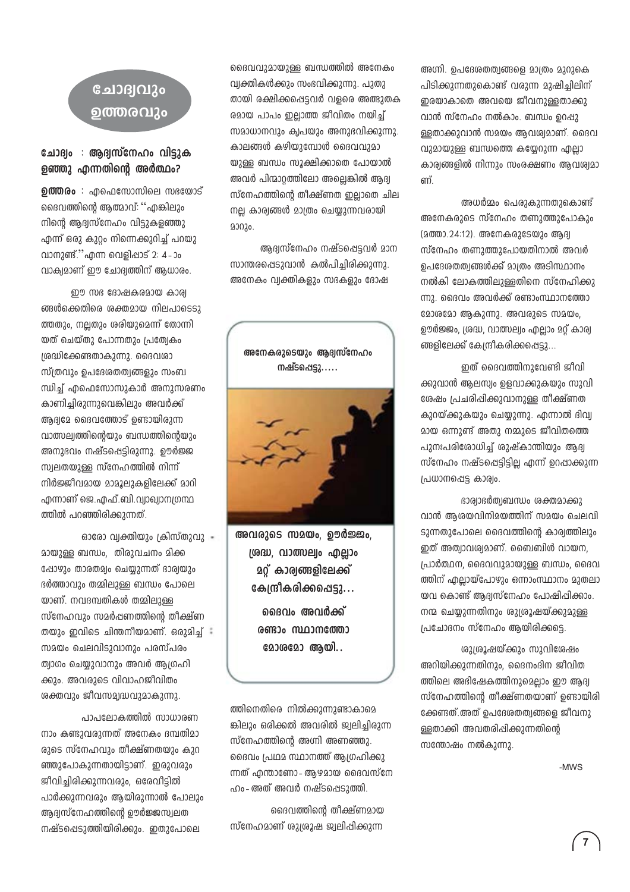## ചോദ്വവും ൭ത്തരവും

#### ചോദ്വം : ആദ്വസ്നേഹം വിട്ടുക ളഞ്ഞു എന്നതിന്റെ അർത്ഥം?

**ഉത്തരം** : എഫെസോസിലെ സഭയോട് ദൈവത്തിന്റെ ആത്മാവ്: ''എങ്കിലും നിന്റെ ആദ്വസ്നേഹം വിട്ടുകളഞ്ഞു എന്ന് ഒരു കുറം നിന്നെക്കുറിച്ച് പറയു വാനുണ്ട്."എന്ന വെളിപ്പാട് 2: 4 - ാം വാക്വമാണ് ഈ ചോദ്യത്തിന് ആധാരം.

ഈ സഭ ദോഷകരമായ കാര്വ ങ്ങൾക്കെതിരെ ശക്തമായ നിലപാടെടു ത്തതും, നല്ലതും ശരിയുമെന്ന് തോന്നി യത് ചെയ്തു പോന്നതും പ്രത്വേകം ശ്രദ്ധിക്കേണ്ടതാകുന്നു. ദൈവശാ സ്ത്രവും ഉപദേശതത്വങ്ങളും സംബ ന്ധിച്ച് എഫെസോസുകാർ അനുസരണം കാണിച്ചിരുന്നുവെങ്കിലും അവർക്ക് ആദ്യമേ ദൈവത്തോട് ഉണ്ടായിരുന്ന വാത്സല്വത്തിന്റെയും ബന്ധത്തിന്റെയും അനുഭവം നഷ്ടപ്പെട്ടിരുന്നു. ഊർജ്ജ സ്വലതയുള്ള സ്നേഹത്തിൽ നിന്ന് നിർജ്ജീവമായ മാമൂലുകളിലേക്ക് മാറി എന്നാണ് ജെ.എഫ്.ബി.വ്വാഖ്വാന്യഗന്ഥ ത്തിൽ പറഞ്ഞിരിക്കുന്നത്.

ഓരോ വ്വക്തിയും ക്രിസ്തുവു -മായുള്ള ബന്ധം, തിരുവചനം മിക്ക ഷോഴും താരതമ്യം ചെയ്യുന്നത് ഭാര്യയും ഭർത്താവും തമ്മിലുള്ള ബന്ധം പോലെ യാണ്. നവദമ്പതികൾ തമ്മിലുള്ള സ്നേഹവും സമർപ്പണത്തിൻെ തീക്ഷ്ണ തയും ഇവിടെ ചിന്തനീയമാണ്. ഒരുമിച്ച് സമയം ചെലവിടാവാനാം പരസ്പരം ത്വാഗം ചെയുവാനും അവർ അ്വഗഹി ക്കും. അവരുടെ വിവാഹജീവിതം ശക്തവും ജീവസമ്പദ്ധവുമാകുന്നു.

പാപലോകത്തിൽ സാധാരണ നാം കണ്ടുവരുന്നത് അനേകം ദമ്പതിമാ രുടെ സ്നേഹവും തീക്ഷ്ണതയും കുറ ഞ്ഞുപോകുന്നതായിട്ടാണ്. ഇരുവരും ജീവിച്ചിരിക്കുന്നവരും, ഒരേവീട്ടിൽ പാർക്കുന്നവരും ആയിരുന്നാൽ പോലും ആദ്യസ്നേഹത്തിന്റെ ഊർജ്ജസ്വലത നഷ്ടപ്പെടുത്തിയിരിക്കും. ഇതുപോലെ

ദൈവവുമായുള്ള ബന്ധത്തിൽ അനേകം വ്വക്തികൾക്കും സംഭവിക്കുന്നു. പുതു തായി രക്ഷിക്കപ്പെട്ടവർ വളരെ അത്ഭുതക രമായ പാപം ഇലാത്ത ജീവിതം നയിച് സമാധാനവും ക്വപയും അനുഭവിക്കുന്നു. കാലങ്ങൾ കഴിയാമ്പോൾ ദൈവവാമാ യുള്ള ബന്ധം സൂക്ഷിക്കാതെ പോയാൽ അവർ പിന്മാറത്തിലോ അലെങ്കിൽ അദ്വ സ്നേഹത്തിന്റെ തീക്ഷ്ണത ഇലാതെ ചില നല കാര്ത്തൾ മാത്രം ചെയുന്നവരായി 20020.

ആദ്യസ്നേഹം നഷ്ടപ്പെട്ടവർ മാന സാന്തരപ്പെടുവാൻ കൽപിച്ചിരിക്കുന്നു. അനേകം വ്വക്തികളും സഭകളും ദോഷ

അനേകരുടെയും ആദ്യസ്നേഹം നഷ്ടപ്പെട്ടു……



അവരുടെ സമയം, ഊർജ്ജം, ശ്രദ്ധ, വാത്സല്വം എല്ലാം **മ**റ്റ് കാര്യങ്ങളിലേക്ക് കേന്ദ്രീകരിക്കപ്പെട്ടു…

ദൈവം അവർക്ക് രണ്ടാം സ്ഥാനത്തോ മോശമോ ആയി..

ത്തിനെതിരെ നിൽക്കുന്നുണ്ടാകാമെ ങ്കിലും ഒരിക്കൽ അവരിൽ ജ്വലിച്ചിരുന്ന സ്നേഹത്തിന്റെ അഗ്നി അണഞ്ഞു. ദൈവം പ്രഥമ സ്ഥാനത്ത് ആഗ്രഹിക്കു ന്നത് എന്താണോ- ആഴമായ ദൈവസ്നേ ഹം- അത് അവർ നഷ്ടപ്പെടുത്തി.

ദൈവത്തിന്റെ തീക്ഷ്ണമായ സ്നേഹമാണ് ശുശ്രൂഷ ജ്വലിപ്പിക്കുന്ന

അഗ്നി. ഉപദേശതത്വങ്ങളെ മാത്രം മുറുകെ പിടിക്കുന്നതുകൊണ്ട് വരുന്ന മുഷിച്ചിലിന് ഇരയാകാതെ അവയെ ജീവനുള്ളതാക്കു വാൻ സ്നേഹം നൽകാം. ബന്ധം ഉറപ്പു ള്ളതാക്കുവാൻ സമയം ആവശ്യമാണ്. ദൈവ വുമായുള്ള ബന്ധത്തെ കയ്യേറുന്ന എല്ലാ കാര്വങ്ങളിൽ നിന്നും സംരക്ഷണം ആവശ്യമാ ണ്.

അധർമ്മം പെരുകുന്നതുകൊണ്ട് അനേകരുടെ സ്നേഹം തണുത്തുപോകും (മത്താ.24:12). അനേകരുടേയും ആദ്വ സ്നേഹം തണുത്തുപോയതിനാൽ അവർ ഉപദേശതത്വങ്ങൾക്ക് മാത്രം അടിസ്ഥാനം നൽകി ലോകത്തിലുള്ളതിനെ സ്നേഹിക്കു ന്നു. ദൈവം അവർക്ക് രണ്ടാംസ്ഥാനത്തോ  $200620$  ആകുന്നു. അവരുടെ സമയം. ഊർജ്ജം, ശ്രദ്ധ, വാത്സല്വം എല്ലാം മറ്റ് കാര്വ ങ്ങളിലേക്ക് കേന്ദ്രീകരിക്കപ്പെട്ടു...

ഇത് ദൈവത്തിനുവേണ്ടി ജീവി ക്കുവാൻ ആലസ്വം ഉളവാക്കുകയും സുവി ശേഷം പ്രചരിപ്പിക്കുവാനുള്ള തീക്ഷ്ണത കുറയ്ക്കുകയും ചെയ്യുന്നു. എന്നാൽ ദിവ്വ മായ ഒന്നുണ്ട് അതു നമ്മുടെ ജീവിതത്തെ പുനഃപരിരോധിച്ച് ശുഷ്കാന്തിയും ആദ്വ സ്നേഹം നഷ്ടപ്പെട്ടിട്ടില്ല എന്ന് ഉറപ്പാക്കുന്ന പ്രധാനപ്പെട്ട കാര്വം.

ദാര്യാഭർത്വബന്ധം ശക്തമാക്കു വാൻ അശയവിനിമയത്തിന് സമയം ചെലവി ടാന്നതാപോലെ ദൈവത്തിന്റെ കാര്യത്തിലും ഇത് അത്വാവശ്വമാണ്. ബൈബിൾ വായന, പ്രാർത്ഥന, ദൈവവുമായുള്ള ബന്ധം, ദൈവ ത്തിന് എലായ്പോഴും ഒന്നാംസ്ഥാനം മുതലാ യവ കൊണ്ട് ആദ്വസ്നേഹം പോഷിപ്പിക്കാം. നന്മ ചെയുന്നതിനും ശുശ്രൂഷയ്ക്കുമുള്ള ക്രചാദനം സ്നേഹം അയിരിക്കടെ.

ശുശ്രൂഷയ്ക്കും സുവിശേഷം അറിയിക്കുന്നതിനും, ദൈനംദിന ജീവിത ത്തിലെ അഭിഷേകത്തിനുമെല്ലാം ഈ ആദ്യ സ്നേഹത്തിന്റെ തീക്ഷ്ണതയാണ് ഉണ്ടായിരി ക്കേണ്ടത്.അത് ഉപദേശതത്വങ്ങളെ ജീവനു ള്ളതാക്കി അവതരിപ്പിക്കുന്നതിന്റെ സന്തോഷം നൽകുന്നു.

-MWS